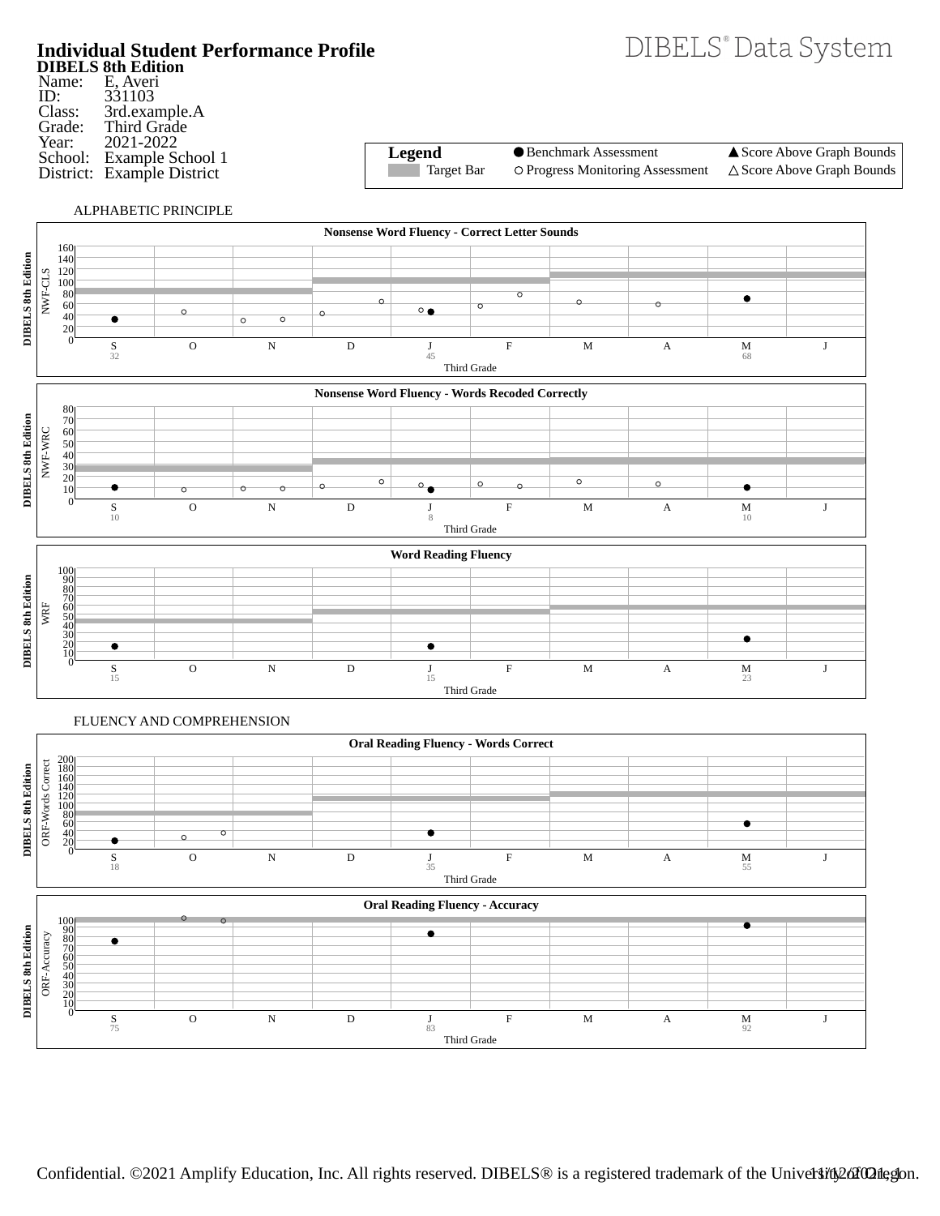

**DIBELS 8th Edition** Name: ID: Class: Grade: Year: School: District: Example District E, Averi 331103 3rd.example.A Third Grade 2021-2022 Example School 1

**Legend** Target Bar

Benchmark Assessment

O Progress Monitoring Assessment

▲ Score Above Graph Bounds  $\triangle$  Score Above Graph Bounds